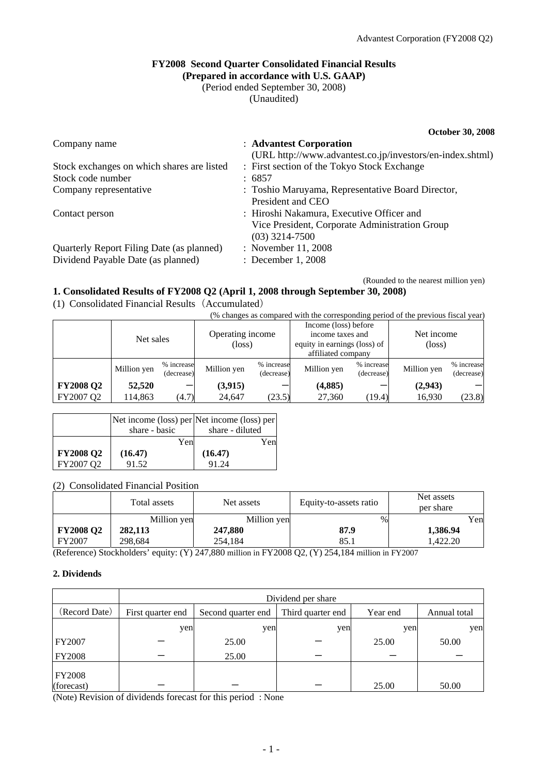**October 30, 2008** 

# **FY2008 Second Quarter Consolidated Financial Results**

**(Prepared in accordance with U.S. GAAP)**  (Period ended September 30, 2008)

(Unaudited)

Company name : **Advantest Corporation** (URL http://www.advantest.co.jp/investors/en-index.shtml) Stock exchanges on which shares are listed : First section of the Tokyo Stock Exchange Stock code number : 6857 Company representative : Toshio Maruyama, Representative Board Director, President and CEO Contact person : Hiroshi Nakamura, Executive Officer and Vice President, Corporate Administration Group (03) 3214-7500 Quarterly Report Filing Date (as planned) : November 11, 2008 Dividend Payable Date (as planned) : December 1, 2008

(Rounded to the nearest million yen)

## **1. Consolidated Results of FY2008 Q2 (April 1, 2008 through September 30, 2008)**

(1) Consolidated Financial Results(Accumulated)

(% changes as compared with the corresponding period of the previous fiscal year)

|                  | Net sales   |                          | Operating income<br>(loss) |                          | Income (loss) before<br>income taxes and<br>equity in earnings (loss) of<br>affiliated company |                          | Net income<br>$(\text{loss})$ |                          |
|------------------|-------------|--------------------------|----------------------------|--------------------------|------------------------------------------------------------------------------------------------|--------------------------|-------------------------------|--------------------------|
|                  | Million yen | % increase<br>(decrease) | Million yen                | % increase<br>(decrease) | Million yen                                                                                    | % increase<br>(decrease) | Million yen                   | % increase<br>(decrease) |
| <b>FY2008 Q2</b> | 52,520      |                          | (3,915)                    |                          | (4,885)                                                                                        |                          | (2,943)                       |                          |
| FY2007 Q2        | 14,863      | (4.7)                    | 24,647                     | (23.5)                   | 27,360                                                                                         | (19.4)                   | 16,930                        | (23.8)                   |

|                  |               | Net income (loss) per Net income (loss) per |
|------------------|---------------|---------------------------------------------|
|                  | share - basic | share - diluted                             |
|                  | Yen           | Yen                                         |
| <b>FY2008 Q2</b> | (16.47)       | (16.47)                                     |
| FY2007 Q2        | 91.52         | 91.24                                       |

### (2) Consolidated Financial Position

|                  | Total assets | Net assets  | Equity-to-assets ratio | Net assets<br>per share |
|------------------|--------------|-------------|------------------------|-------------------------|
|                  | Million yen  | Million yen | $\%$                   | Yen                     |
| <b>FY2008 Q2</b> | 282,113      | 247,880     | 87.9                   | 1,386.94                |
| FY2007           | 298.684      | 254.184     | 85.1                   | .422.20                 |

(Reference) Stockholders' equity: (Y) 247,880 million in FY2008 Q2, (Y) 254,184 million in FY2007

### **2. Dividends**

|                             | Dividend per share |                    |                   |          |              |  |  |
|-----------------------------|--------------------|--------------------|-------------------|----------|--------------|--|--|
| (Record Date)               | First quarter end  | Second quarter end | Third quarter end | Year end | Annual total |  |  |
|                             | yen                | yen                | yen               | yen      | yen          |  |  |
| FY2007                      |                    | 25.00              |                   | 25.00    | 50.00        |  |  |
| <b>FY2008</b>               |                    | 25.00              |                   |          |              |  |  |
| <b>FY2008</b><br>(forecast) |                    |                    |                   | 25.00    | 50.00        |  |  |

(Note) Revision of dividends forecast for this period : None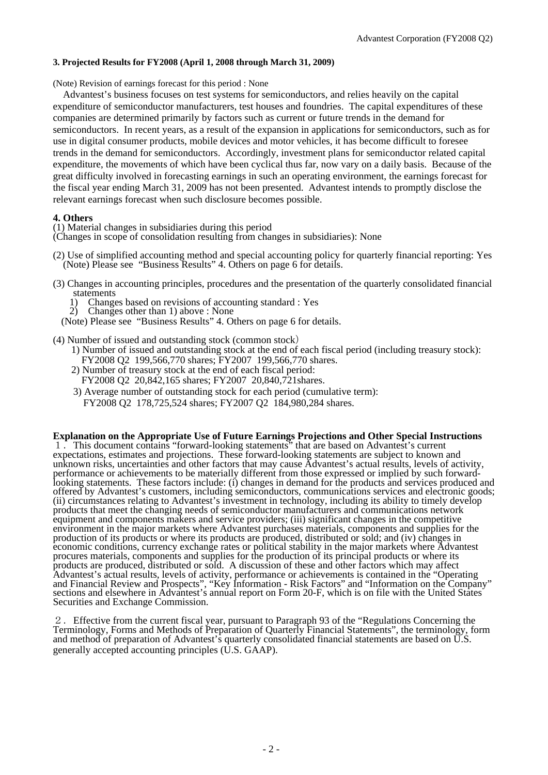### **3. Projected Results for FY2008 (April 1, 2008 through March 31, 2009)**

(Note) Revision of earnings forecast for this period : None

Advant est's business focuses on test systems for semiconductors, and relies heavily on the capital expenditure of semiconductor manufacturers, test houses and foundries. The capital expenditures of these companies are determined primarily by factors such as current or future trends in the demand for semiconductors. In recent years, as a result of the expansion in applications for semiconductors, such as for use in digital consumer products, mobile devices and motor vehicles, it has become difficult to foresee trends in the demand for semiconductors. Accordingly, investment plans for semiconductor related capital expenditure, the movements of which have been cyclical thus far, now vary on a daily basis. Because of the great difficulty involved in forecasting earnings in such an operating environment, the earnings forecast for the fiscal year ending March 31, 2009 has not been presented. Advantest intends to promptly disclose the relevant earnings forecast when such disclosure becomes possible.

### **4. Others**

(1) Material changes in subsidiaries during this period

(Changes in scope of consolidation resulting from changes in subsidiaries): None

- (2) Use of simplified accounting method and special accounting policy for quarterly financial reporting: Yes (Note) Please see "Business Results" 4. Others on page 6 for details.
- (3) Changes in accounting principles, procedures and the presentation of the quarterly consolidated financial statements
	- 1) Changes based on revisions of accounting standard : Yes 2) Changes other than 1) above : None
	- 2) Changes other than 1) above : None
	- (Note) Please see "Business Results" 4. Others on page 6 for details.
- (4) Number of issued and outstanding stock (common stock)
	- 1) Number of issued and outstanding stock at the end of each fiscal period (including treasury stock): FY2008 Q2 199,566,770 shares; FY2007 199,566,770 shares.
	- 2) Number of treasury stock at the end of each fiscal period: FY2008 Q2 20,842,165 shares; FY2007 20,840,721shares.
	- 3) Average number of outstanding stock for each period (cumulative term): FY2008 Q2 178,725,524 shares; FY2007 Q2 184,980,284 shares.

**Explanation on the Appropriate Use of Future Earnings Projections and Other Special Instructions**  1.This document contains "forward-looking statements" that are based on Advantest's current expectations, estimates and projections. These forward-looking statements are subject to known and unknown risks, uncertainties and other factors that may cause Advantest's actual results, levels of activity, performance or achievements to be materially different from those expressed or implied by such forwardlooking statements. These factors include: (i) changes in demand for the products and services produced and offered by Advantest's customers, including semiconductors, communications services and electronic goods; (ii) circumstances relating to Advantest's investment in technology, including its ability to timely develop products that meet the changing needs of semiconductor manufacturers and communications network equipment and components makers and service providers; (iii) significant changes in the competitive environment in the major markets where Advantest purchases materials, components and supplies for the production of its products or where its products are produced, distributed or sold; and (iv) changes in economic conditions, currency exchange rates or political stability in the major markets where Advantest procures materials, components and supplies for the production of its principal products or where its products are produced, distributed or sold. A discussion of these and other factors which may affect Advantest's actual results, levels of activity, performance or achievements is contained in the "Operating and Financial Review and Prospects", "Key Information - Risk Factors" and "Information on the Company" sections and elsewhere in Advantest's annual report on Form 20-F, which is on file with the United States Securities and Exchange Commission.

2.Effective from the current fiscal year, pursuant to Paragraph 93 of the "Regulations Concerning the Terminology, Forms and Methods of Preparation of Quarterly Financial Statements", the terminology, form and method of preparation of Advantest's quarterly consolidated financial statements are based on U.S. generally accepted accounting principles (U.S. GAAP).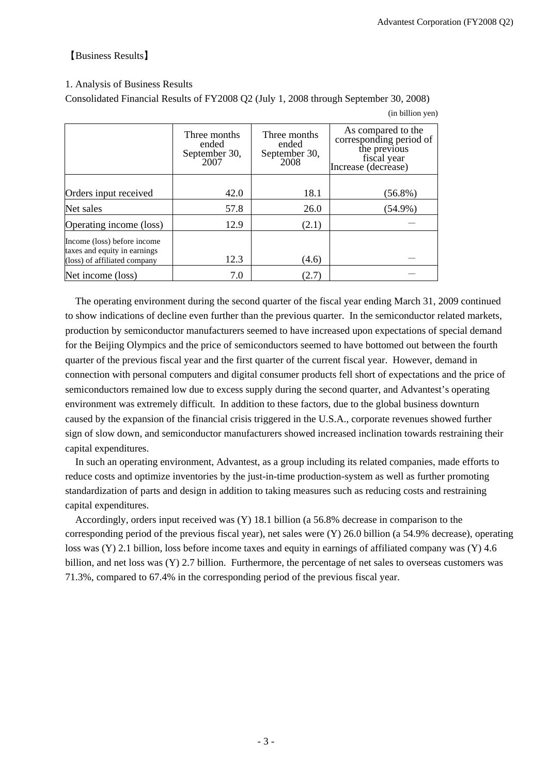### 【Business Results】

### 1. Analysis of Business Results

Consolidated Financial Results of FY2008 Q2 (July 1, 2008 through September 30, 2008)

(in billion yen)

|                                                                                             | Three months<br>ended<br>September 30,<br>2007 | Three months<br>ended<br>September 30,<br>2008 | As compared to the<br>corresponding period of<br>the previous<br>fiscal year<br>Increase (decrease) |
|---------------------------------------------------------------------------------------------|------------------------------------------------|------------------------------------------------|-----------------------------------------------------------------------------------------------------|
| Orders input received                                                                       | 42.0                                           | 18.1                                           | $(56.8\%)$                                                                                          |
| Net sales                                                                                   | 57.8                                           | 26.0                                           | $(54.9\%)$                                                                                          |
| Operating income (loss)                                                                     | 12.9                                           | (2.1)                                          |                                                                                                     |
| Income (loss) before income<br>taxes and equity in earnings<br>(loss) of affiliated company | 12.3                                           | (4.6)                                          |                                                                                                     |
| Net income (loss)                                                                           | 7.0                                            | (2.7)                                          |                                                                                                     |

The operating environment during the second quarter of the fiscal year ending March 31, 2009 continued to show indications of decline even further than the previous quarter. In the semiconductor related markets, production by semiconductor manufacturers seemed to have increased upon expectations of special demand for the Beijing Olympics and the price of semiconductors seemed to have bottomed out between the fourth quarter of the previous fiscal year and the first quarter of the current fiscal year. However, demand in connection with personal computers and digital consumer products fell short of expectations and the price of semiconductors remained low due to excess supply during the second quarter, and Advantest's operating environment was extremely difficult. In addition to these factors, due to the global business downturn caused by the expansion of the financial crisis triggered in the U.S.A., corporate revenues showed further sign of slow down, and semiconductor manufacturers showed increased inclination towards restraining their capital expenditures.

In such an operating environment, Advantest, as a group including its related companies, made efforts to reduce costs and optimize inventories by the just-in-time production-system as well as further promoting standardization of parts and design in addition to taking measures such as reducing costs and restraining capital expenditures.

Accordingly, orders input received was (Y) 18.1 billion (a 56.8% decrease in comparison to the corresponding period of the previous fiscal year), net sales were (Y) 26.0 billion (a 54.9% decrease), operating loss was (Y) 2.1 billion, loss before income taxes and equity in earnings of affiliated company was (Y) 4.6 billion, and net loss was (Y) 2.7 billion. Furthermore, the percentage of net sales to overseas customers was 71.3%, compared to 67.4% in the corresponding period of the previous fiscal year.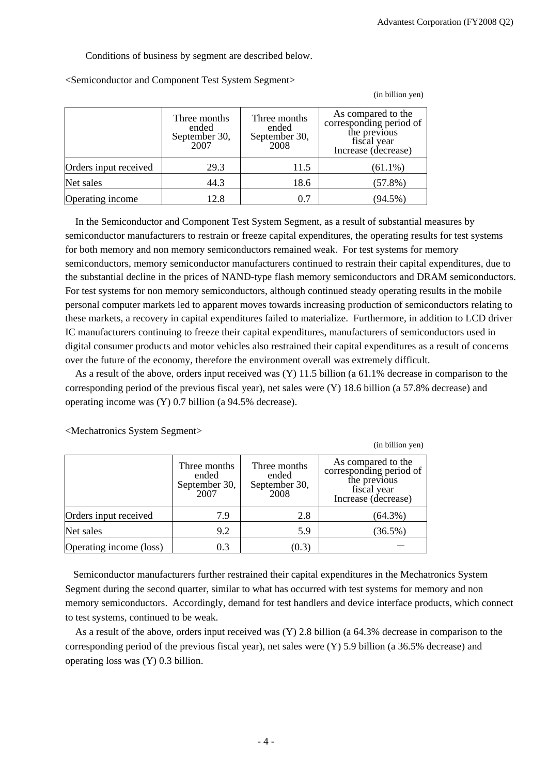(in billion yen)

 $\alpha$  in billion years y

Conditions of business by segment are described below.

|                       | Three months<br>ended<br>September 30,<br>2007 | Three months<br>ended<br>September 30,<br>2008 | As compared to the<br>corresponding period of<br>the previous<br>fiscal year<br>Increase (decrease) |
|-----------------------|------------------------------------------------|------------------------------------------------|-----------------------------------------------------------------------------------------------------|
| Orders input received | 29.3                                           | 11.5                                           | $(61.1\%)$                                                                                          |
| Net sales             | 44.3                                           | 18.6                                           | $(57.8\%)$                                                                                          |
| Operating income      | 12.8                                           | 0.7                                            | $(94.5\%)$                                                                                          |

<Semiconductor and Component Test System Segment>

In the Semiconductor and Component Test System Segment, as a result of substantial measures by semiconductor manufacturers to restrain or freeze capital expenditures, the operating results for test systems for both memory and non memory semiconductors remained weak. For test systems for memory semiconductors, memory semiconductor manufacturers continued to restrain their capital expenditures, due to the substantial decline in the prices of NAND-type flash memory semiconductors and DRAM semiconductors. For test systems for non memory semiconductors, although continued steady operating results in the mobile personal computer markets led to apparent moves towards increasing production of semiconductors relating to these markets, a recovery in capital expenditures failed to materialize. Furthermore, in addition to LCD driver IC manufacturers continuing to freeze their capital expenditures, manufacturers of semiconductors used in digital consumer products and motor vehicles also restrained their capital expenditures as a result of concerns over the future of the economy, therefore the environment overall was extremely difficult.

As a result of the above, orders input received was (Y) 11.5 billion (a 61.1% decrease in comparison to the corresponding period of the previous fiscal year), net sales were (Y) 18.6 billion (a 57.8% decrease) and operating income was (Y) 0.7 billion (a 94.5% decrease).

|                         |                                                |                                                | THE OTHIOH YUH                                                                                      |
|-------------------------|------------------------------------------------|------------------------------------------------|-----------------------------------------------------------------------------------------------------|
|                         | Three months<br>ended<br>September 30,<br>2007 | Three months<br>ended<br>September 30,<br>2008 | As compared to the<br>corresponding period of<br>the previous<br>fiscal year<br>Increase (decrease) |
| Orders input received   | 7.9                                            | 2.8                                            | $(64.3\%)$                                                                                          |
| Net sales               | 9.2                                            | 5.9                                            | $(36.5\%)$                                                                                          |
| Operating income (loss) | 0.3                                            | (0.3)                                          |                                                                                                     |

<Mechatronics System Segment>

Semiconductor manufacturers further restrained their capital expenditures in the Mechatronics System Segment during the second quarter, similar to what has occurred with test systems for memory and non memory semiconductors. Accordingly, demand for test handlers and device interface products, which connect to test systems, continued to be weak.

As a result of the above, orders input received was (Y) 2.8 billion (a 64.3% decrease in comparison to the corresponding period of the previous fiscal year), net sales were (Y) 5.9 billion (a 36.5% decrease) and operating loss was (Y) 0.3 billion.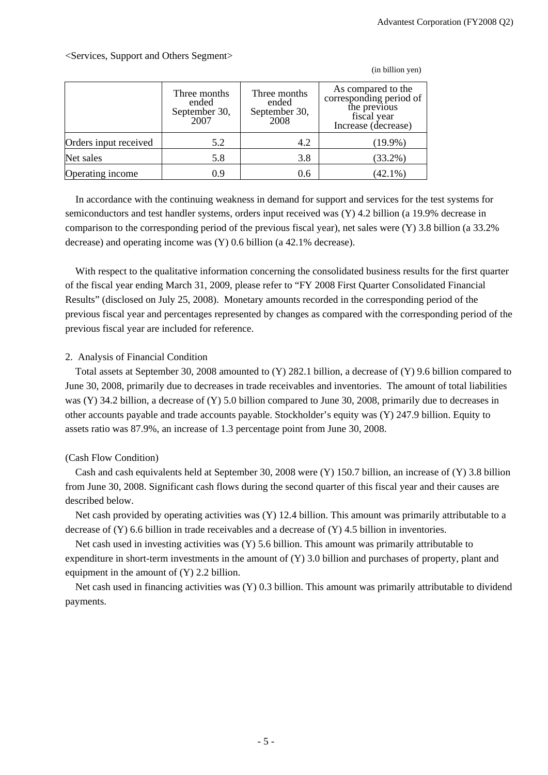(in billion yen)

|                       | Three months<br>ended<br>September 30,<br>2007 | Three months<br>ended<br>September 30,<br>2008 | As compared to the<br>corresponding period of<br>the previous<br>fiscal year<br>Increase (decrease) |
|-----------------------|------------------------------------------------|------------------------------------------------|-----------------------------------------------------------------------------------------------------|
| Orders input received | 5.2                                            | 4.2                                            | $(19.9\%)$                                                                                          |
| Net sales             | 5.8                                            | 3.8                                            | $(33.2\%)$                                                                                          |
| Operating income      | 0.9                                            | 0.6                                            | $(42.1\%)$                                                                                          |

<Services, Support and Others Segment>

In accordance with the continuing weakness in demand for support and services for the test systems for semiconductors and test handler systems, orders input received was (Y) 4.2 billion (a 19.9% decrease in comparison to the corresponding period of the previous fiscal year), net sales were (Y) 3.8 billion (a 33.2% decrease) and operating income was (Y) 0.6 billion (a 42.1% decrease).

With respect to the qualitative information concerning the consolidated business results for the first quarter of the fiscal year ending March 31, 2009, please refer to "FY 2008 First Quarter Consolidated Financial Results" (disclosed on July 25, 2008). Monetary amounts recorded in the corresponding period of the previous fiscal year and percentages represented by changes as compared with the corresponding period of the previous fiscal year are included for reference.

### 2. Analysis of Financial Condition

Total assets at September 30, 2008 amounted to (Y) 282.1 billion, a decrease of (Y) 9.6 billion compared to June 30, 2008, primarily due to decreases in trade receivables and inventories. The amount of total liabilities was (Y) 34.2 billion, a decrease of (Y) 5.0 billion compared to June 30, 2008, primarily due to decreases in other accounts payable and trade accounts payable. Stockholder's equity was (Y) 247.9 billion. Equity to assets ratio was 87.9%, an increase of 1.3 percentage point from June 30, 2008.

## (Cash Flow Condition)

Cash and cash equivalents held at September 30, 2008 were (Y) 150.7 billion, an increase of (Y) 3.8 billion from June 30, 2008. Significant cash flows during the second quarter of this fiscal year and their causes are described below.

Net cash provided by operating activities was (Y) 12.4 billion. This amount was primarily attributable to a decrease of  $(Y)$  6.6 billion in trade receivables and a decrease of  $(Y)$  4.5 billion in inventories.

Net cash used in investing activities was (Y) 5.6 billion. This amount was primarily attributable to expenditure in short-term investments in the amount of (Y) 3.0 billion and purchases of property, plant and equipment in the amount of (Y) 2.2 billion.

Net cash used in financing activities was (Y) 0.3 billion. This amount was primarily attributable to dividend payments.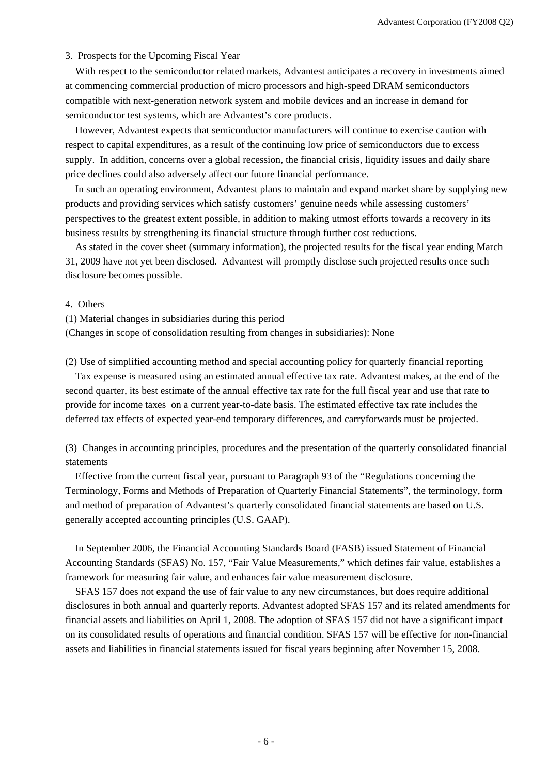#### 3. Prospects for the Upcoming Fiscal Year

With respect to the semiconductor related markets, Advantest anticipates a recovery in investments aimed at commencing commercial production of micro processors and high-speed DRAM semiconductors compatible with next-generation network system and mobile devices and an increase in demand for semiconductor test systems, which are Advantest's core products.

However, Advantest expects that semiconductor manufacturers will continue to exercise caution with respect to capital expenditures, as a result of the continuing low price of semiconductors due to excess supply. In addition, concerns over a global recession, the financial crisis, liquidity issues and daily share price declines could also adversely affect our future financial performance.

In such an operating environment, Advantest plans to maintain and expand market share by supplying new products and providing services which satisfy customers' genuine needs while assessing customers' perspectives to the greatest extent possible, in addition to making utmost efforts towards a recovery in its business results by strengthening its financial structure through further cost reductions.

As stated in the cover sheet (summary information), the projected results for the fiscal year ending March 31, 2009 have not yet been disclosed. Advantest will promptly disclose such projected results once such disclosure becomes possible.

#### 4. Others

(1) Material changes in subsidiaries during this period

(Changes in scope of consolidation resulting from changes in subsidiaries): None

(2) Use of simplified accounting method and special accounting policy for quarterly financial reporting

Tax ex pense is measured using an estimated annual effective tax rate. Advantest makes, at the end of the second quarter, its best estimate of the annual effective tax rate for the full fiscal year and use that rate to provide for income taxes on a current year-to-date basis. The estimated effective tax rate includes the deferred tax effects of expected year-end temporary differences, and carryforwards must be projected.

(3) Changes in accounting principles, procedures and the presentation of the quarterly consolidated financial statements

Effective from the current fiscal year, pursuant to Paragraph 93 of the "Regulations concerning the Terminology, Forms and Methods of Preparation of Quarterly Financial Statements", the terminology, form and method of preparation of Advantest's quarterly consolidated financial statements are based on U.S. generally accepted accounting principles (U.S. GAAP).

In September 2006, the Financial Accounting Standards Board (FASB) issued Statement of Financial Accounting Standards (SFAS) No. 157, "Fair Value Measurements," which defines fair value, establishes a framework for measuring fair value, and enhances fair value measurement disclosure.

SFAS 157 does not expand the use of fair value to any new circumstances, but does require additional disclosures in both annual and quarterly reports. Advantest adopted SFAS 157 and its related amendments for financial assets and liabilities on April 1, 2008. The adoption of SFAS 157 did not have a significant impact on its consolidated results of operations and financial condition. SFAS 157 will be effective for non-financial assets and liabilities in financial statements issued for fiscal years beginning after November 15, 2008.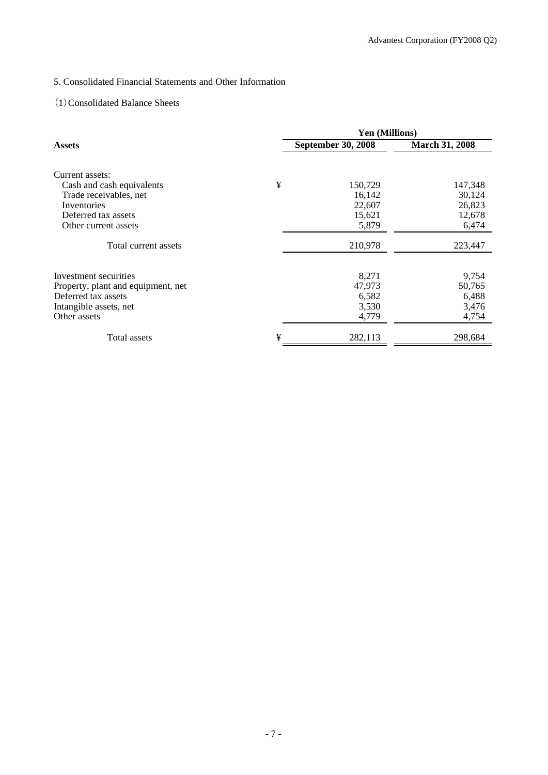## 5. Consolidated Financial Statements and Other Information

## (1)Consolidated Balance Sheets

|                                    |   | <b>Yen (Millions)</b>     |                       |  |  |  |
|------------------------------------|---|---------------------------|-----------------------|--|--|--|
| <b>Assets</b>                      |   | <b>September 30, 2008</b> | <b>March 31, 2008</b> |  |  |  |
| Current assets:                    |   |                           |                       |  |  |  |
| Cash and cash equivalents          | ¥ | 150,729                   | 147,348               |  |  |  |
| Trade receivables, net             |   | 16,142                    | 30,124                |  |  |  |
| Inventories                        |   | 22,607                    | 26,823                |  |  |  |
| Deferred tax assets                |   | 15,621                    | 12,678                |  |  |  |
| Other current assets               |   | 5,879                     | 6,474                 |  |  |  |
| Total current assets               |   | 210,978                   | 223,447               |  |  |  |
| Investment securities              |   | 8,271                     | 9,754                 |  |  |  |
| Property, plant and equipment, net |   | 47,973                    | 50,765                |  |  |  |
| Deferred tax assets                |   | 6,582                     | 6,488                 |  |  |  |
| Intangible assets, net             |   | 3,530                     | 3,476                 |  |  |  |
| Other assets                       |   | 4,779                     | 4,754                 |  |  |  |
| Total assets                       | ¥ | 282,113                   | 298,684               |  |  |  |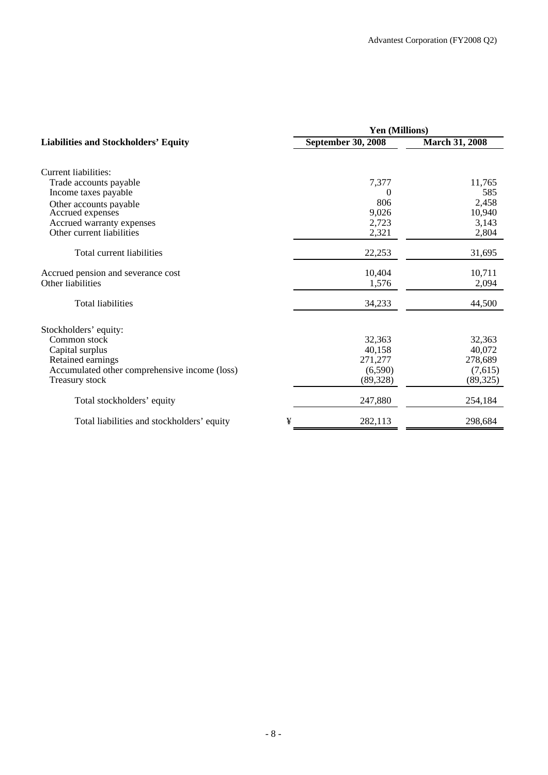|                                               | Yen (Millions)            |                       |  |  |  |
|-----------------------------------------------|---------------------------|-----------------------|--|--|--|
| <b>Liabilities and Stockholders' Equity</b>   | <b>September 30, 2008</b> | <b>March 31, 2008</b> |  |  |  |
| Current liabilities:                          |                           |                       |  |  |  |
| Trade accounts payable                        | 7,377                     | 11,765                |  |  |  |
| Income taxes payable                          | $\theta$                  | 585                   |  |  |  |
| Other accounts payable                        | 806                       | 2,458                 |  |  |  |
| Accrued expenses                              | 9,026                     | 10,940                |  |  |  |
| Accrued warranty expenses                     | 2,723                     | 3,143                 |  |  |  |
| Other current liabilities                     | 2,321                     | 2,804                 |  |  |  |
| Total current liabilities                     | 22,253                    | 31,695                |  |  |  |
| Accrued pension and severance cost            | 10,404                    | 10,711                |  |  |  |
| Other liabilities                             | 1,576                     | 2,094                 |  |  |  |
| Total liabilities                             | 34,233                    | 44,500                |  |  |  |
| Stockholders' equity:                         |                           |                       |  |  |  |
| Common stock                                  | 32,363                    | 32,363                |  |  |  |
| Capital surplus                               | 40,158                    | 40,072                |  |  |  |
| Retained earnings                             | 271,277                   | 278,689               |  |  |  |
| Accumulated other comprehensive income (loss) | (6,590)                   | (7,615)               |  |  |  |
| Treasury stock                                | (89, 328)                 | (89, 325)             |  |  |  |
| Total stockholders' equity                    | 247,880                   | 254,184               |  |  |  |
| Total liabilities and stockholders' equity    | ¥<br>282,113              | 298,684               |  |  |  |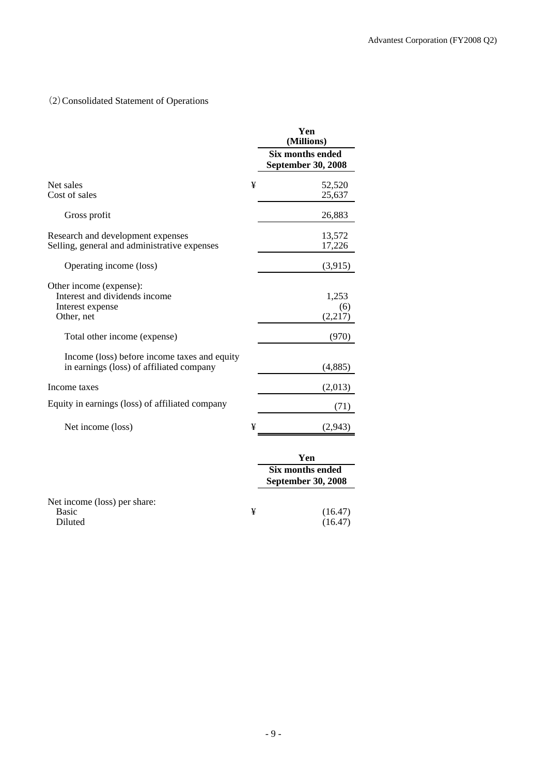# (2)Consolidated Statement of Operations

|                                                                                            |   | Yen<br>(Millions)                                           |
|--------------------------------------------------------------------------------------------|---|-------------------------------------------------------------|
|                                                                                            |   | <b>Six months ended</b><br><b>September 30, 2008</b>        |
| Net sales<br>Cost of sales                                                                 | ¥ | 52,520<br>25,637                                            |
| Gross profit                                                                               |   | 26,883                                                      |
| Research and development expenses<br>Selling, general and administrative expenses          |   | 13,572<br>17,226                                            |
| Operating income (loss)                                                                    |   | (3,915)                                                     |
| Other income (expense):<br>Interest and dividends income<br>Interest expense<br>Other, net |   | 1,253<br>(6)<br>(2,217)                                     |
| Total other income (expense)                                                               |   | (970)                                                       |
| Income (loss) before income taxes and equity<br>in earnings (loss) of affiliated company   |   | (4,885)                                                     |
| Income taxes                                                                               |   | (2,013)                                                     |
| Equity in earnings (loss) of affiliated company                                            |   | (71)                                                        |
| Net income (loss)                                                                          | ¥ | (2,943)                                                     |
|                                                                                            |   | Yen<br><b>Six months ended</b><br><b>September 30, 2008</b> |
| Net income (loss) per share:<br><b>Basic</b><br>Diluted                                    | ¥ | (16.47)<br>(16.47)                                          |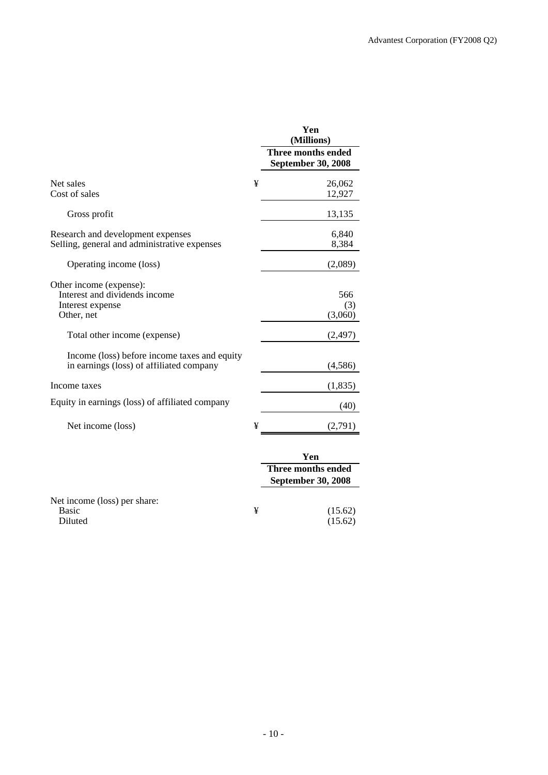|                                                                                            |   | Yen<br>(Millions)<br>Three months ended<br><b>September 30, 2008</b> |
|--------------------------------------------------------------------------------------------|---|----------------------------------------------------------------------|
| Net sales<br>Cost of sales                                                                 | ¥ | 26,062<br>12,927                                                     |
| Gross profit                                                                               |   | 13,135                                                               |
| Research and development expenses<br>Selling, general and administrative expenses          |   | 6,840<br>8,384                                                       |
| Operating income (loss)                                                                    |   | (2,089)                                                              |
| Other income (expense):<br>Interest and dividends income<br>Interest expense<br>Other, net |   | 566<br>(3)<br>(3,060)                                                |
| Total other income (expense)                                                               |   | (2, 497)                                                             |
| Income (loss) before income taxes and equity<br>in earnings (loss) of affiliated company   |   | (4, 586)                                                             |
| Income taxes                                                                               |   | (1,835)                                                              |
| Equity in earnings (loss) of affiliated company                                            |   | (40)                                                                 |
| Net income (loss)                                                                          | ¥ | (2,791)                                                              |
|                                                                                            |   | Yen<br><b>Three months ended</b><br><b>September 30, 2008</b>        |
| Net income (loss) per share:<br><b>Basic</b><br>Diluted                                    | ¥ | (15.62)<br>(15.62)                                                   |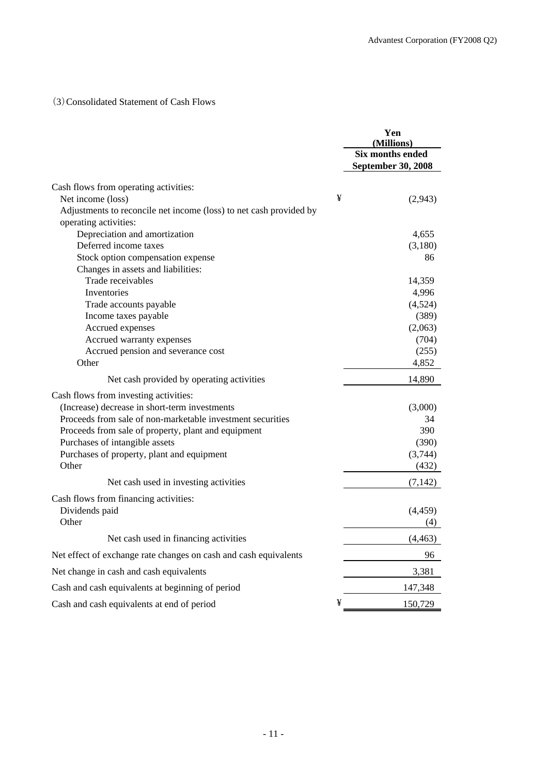## (3)Consolidated Statement of Cash Flows

|                                                                    |   | Yen<br>(Millions)  |
|--------------------------------------------------------------------|---|--------------------|
|                                                                    |   | Six months ended   |
|                                                                    |   | September 30, 2008 |
| Cash flows from operating activities:                              |   |                    |
| Net income (loss)                                                  | ¥ | (2,943)            |
| Adjustments to reconcile net income (loss) to net cash provided by |   |                    |
| operating activities:                                              |   |                    |
| Depreciation and amortization                                      |   | 4,655              |
| Deferred income taxes                                              |   | (3,180)            |
| Stock option compensation expense                                  |   | 86                 |
| Changes in assets and liabilities:                                 |   |                    |
| Trade receivables                                                  |   | 14,359             |
| Inventories                                                        |   | 4,996              |
| Trade accounts payable                                             |   | (4,524)            |
| Income taxes payable                                               |   | (389)              |
| Accrued expenses                                                   |   | (2,063)            |
| Accrued warranty expenses                                          |   | (704)              |
| Accrued pension and severance cost                                 |   | (255)              |
| Other                                                              |   | 4,852              |
| Net cash provided by operating activities                          |   | 14.890             |
| Cash flows from investing activities:                              |   |                    |
| (Increase) decrease in short-term investments                      |   | (3,000)            |
| Proceeds from sale of non-marketable investment securities         |   | 34                 |
| Proceeds from sale of property, plant and equipment                |   | 390                |
| Purchases of intangible assets                                     |   | (390)              |
| Purchases of property, plant and equipment                         |   | (3,744)            |
| Other                                                              |   | (432)              |
| Net cash used in investing activities                              |   | (7, 142)           |
| Cash flows from financing activities:                              |   |                    |
| Dividends paid                                                     |   | (4, 459)           |
| Other                                                              |   | (4)                |
| Net cash used in financing activities                              |   | (4, 463)           |
| Net effect of exchange rate changes on cash and cash equivalents   |   | 96                 |
| Net change in cash and cash equivalents                            |   | 3,381              |
| Cash and cash equivalents at beginning of period                   |   | 147,348            |
| Cash and cash equivalents at end of period                         | ¥ | 150,729            |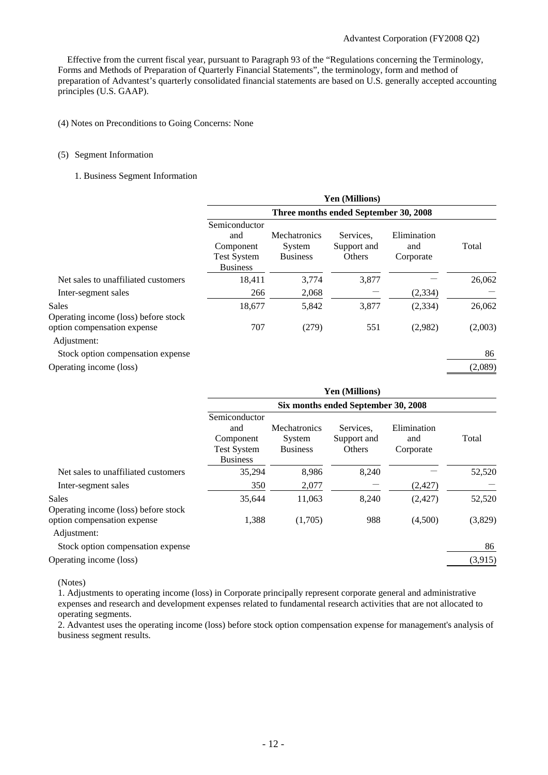Effective from the current fiscal year, pursuant to Paragraph 93 of the "Regulations concerning the Terminology, Forms and Methods of Preparation of Quarterly Financial Statements", the terminology, form and method of preparation of Advantest's quarterly consolidated financial statements are based on U.S. generally accepted accounting principles (U.S. GAAP).

#### (4) Notes on Preconditions to Going Concerns: None

#### (5) Segment Information

#### 1. Business Segment Information

|                                               |                                                                            |                                                  | Yen (Millions)                     |                                 |         |
|-----------------------------------------------|----------------------------------------------------------------------------|--------------------------------------------------|------------------------------------|---------------------------------|---------|
|                                               | Three months ended September 30, 2008                                      |                                                  |                                    |                                 |         |
|                                               | Semiconductor<br>and<br>Component<br><b>Test System</b><br><b>Business</b> | <b>Mechatronics</b><br>System<br><b>Business</b> | Services.<br>Support and<br>Others | Elimination<br>and<br>Corporate | Total   |
| Net sales to unaffiliated customers           | 18,411                                                                     | 3,774                                            | 3,877                              |                                 | 26,062  |
| Inter-segment sales                           | 266                                                                        | 2,068                                            |                                    | (2,334)                         |         |
| Sales<br>Operating income (loss) before stock | 18,677                                                                     | 5,842                                            | 3,877                              | (2, 334)                        | 26,062  |
| option compensation expense<br>Adjustment:    | 707                                                                        | (279)                                            | 551                                | (2,982)                         | (2,003) |
| Stock option compensation expense             |                                                                            |                                                  |                                    |                                 | 86      |
| Operating income (loss)                       |                                                                            |                                                  |                                    |                                 | (2,089) |

|                                                      | <b>Yen (Millions)</b>                                                      |                                           |                                    |                                 |         |
|------------------------------------------------------|----------------------------------------------------------------------------|-------------------------------------------|------------------------------------|---------------------------------|---------|
|                                                      | Six months ended September 30, 2008                                        |                                           |                                    |                                 |         |
|                                                      | Semiconductor<br>and<br>Component<br><b>Test System</b><br><b>Business</b> | Mechatronics<br>System<br><b>Business</b> | Services.<br>Support and<br>Others | Elimination<br>and<br>Corporate | Total   |
| Net sales to unaffiliated customers                  | 35,294                                                                     | 8,986                                     | 8,240                              |                                 | 52,520  |
| Inter-segment sales                                  | 350                                                                        | 2,077                                     |                                    | (2, 427)                        |         |
| <b>Sales</b><br>Operating income (loss) before stock | 35,644                                                                     | 11,063                                    | 8,240                              | (2, 427)                        | 52,520  |
| option compensation expense<br>Adjustment:           | 1,388                                                                      | (1,705)                                   | 988                                | (4,500)                         | (3,829) |
| Stock option compensation expense                    |                                                                            |                                           |                                    |                                 | 86      |
| Operating income (loss)                              |                                                                            |                                           |                                    |                                 | (3,915) |

(Notes)

1. Adjustments to operating income (loss) in Corporate principally represent corporate general and administrative expenses and research and development expenses related to fundamental research activities that are not allocated to operating segments.

2. Advantest uses the operating income (loss) before stock option compensation expense for management's analysis of business segment results.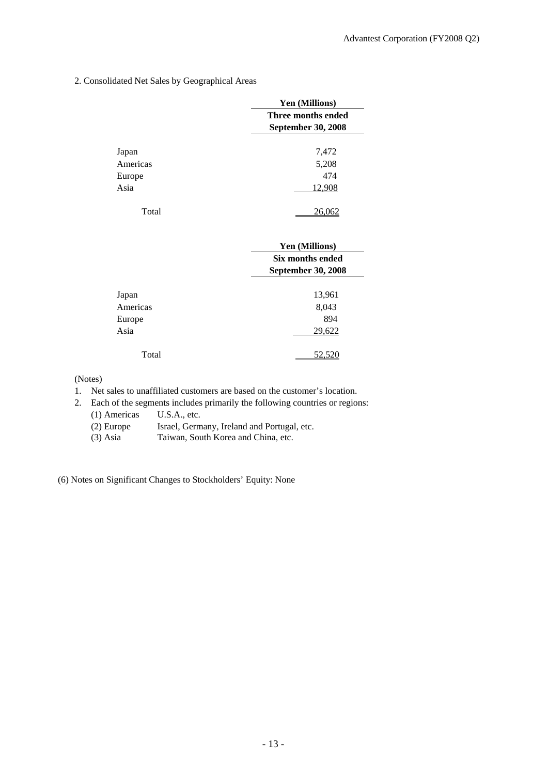2. Consolidated Net Sales by Geographical Areas

|          | Yen (Millions)            |
|----------|---------------------------|
|          | Three months ended        |
|          | <b>September 30, 2008</b> |
|          |                           |
| Japan    | 7,472                     |
| Americas | 5,208                     |
| Europe   | 474                       |
| Asia     | 12,908                    |
| Total    |                           |

|          | <b>Yen (Millions)</b>     |
|----------|---------------------------|
|          | Six months ended          |
|          | <b>September 30, 2008</b> |
| Japan    | 13,961                    |
| Americas | 8,043                     |
| Europe   | 894                       |
| Asia     | 29,622                    |
| Total    |                           |

(Notes)

- 1. Net sales to unaffiliated customers are based on the customer's location.
- 2. Each of the segments includes primarily the following countries or regions: (1) Americas U.S.A., etc.
	- (2) Europe Israel, Germany, Ireland and Portugal, etc.
	- (3) Asia Taiwan, South Korea and China, etc.

(6) Notes on Significant Changes to Stockholders' Equity: None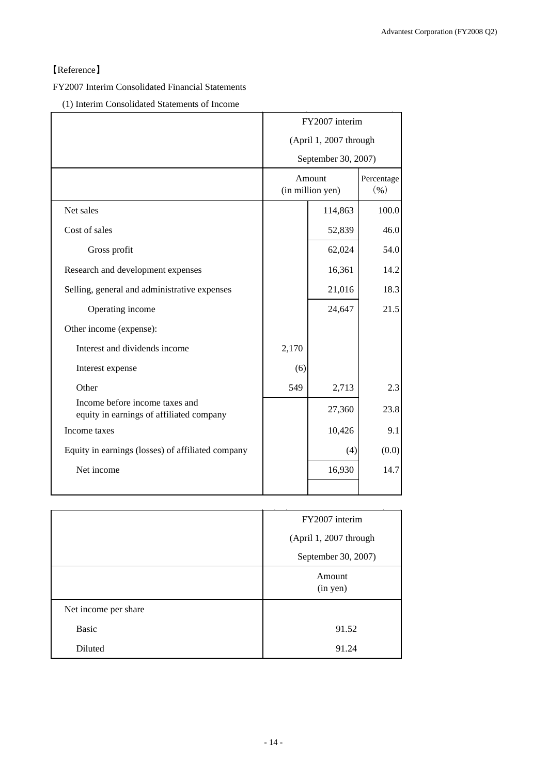# 【Reference】

FY2007 Interim Consolidated Financial Statements

(1) Interim Consolidated Statements of Income

|                                                                            | FY2007 interim                          |         |            |
|----------------------------------------------------------------------------|-----------------------------------------|---------|------------|
|                                                                            | (April 1, 2007 through                  |         |            |
|                                                                            | September 30, 2007)                     |         |            |
|                                                                            | Amount<br>$($ % $)$<br>(in million yen) |         | Percentage |
| Net sales                                                                  |                                         | 114,863 | 100.0      |
| Cost of sales                                                              |                                         | 52,839  | 46.0       |
| Gross profit                                                               |                                         | 62,024  | 54.0       |
| Research and development expenses                                          |                                         | 16,361  | 14.2       |
| Selling, general and administrative expenses                               |                                         | 21,016  | 18.3       |
| Operating income                                                           |                                         | 24,647  | 21.5       |
| Other income (expense):                                                    |                                         |         |            |
| Interest and dividends income                                              | 2,170                                   |         |            |
| Interest expense                                                           | (6)                                     |         |            |
| Other                                                                      | 549                                     | 2,713   | 2.3        |
| Income before income taxes and<br>equity in earnings of affiliated company |                                         | 27,360  | 23.8       |
| Income taxes                                                               |                                         | 10,426  | 9.1        |
| Equity in earnings (losses) of affiliated company                          |                                         | (4)     | (0.0)      |
| Net income                                                                 |                                         | 16,930  | 14.7       |
|                                                                            |                                         |         |            |

|                      | FY2007 interim         |
|----------------------|------------------------|
|                      | (April 1, 2007 through |
|                      | September 30, 2007)    |
|                      | Amount<br>(in yen)     |
| Net income per share |                        |
| <b>Basic</b>         | 91.52                  |
| Diluted              | 91.24                  |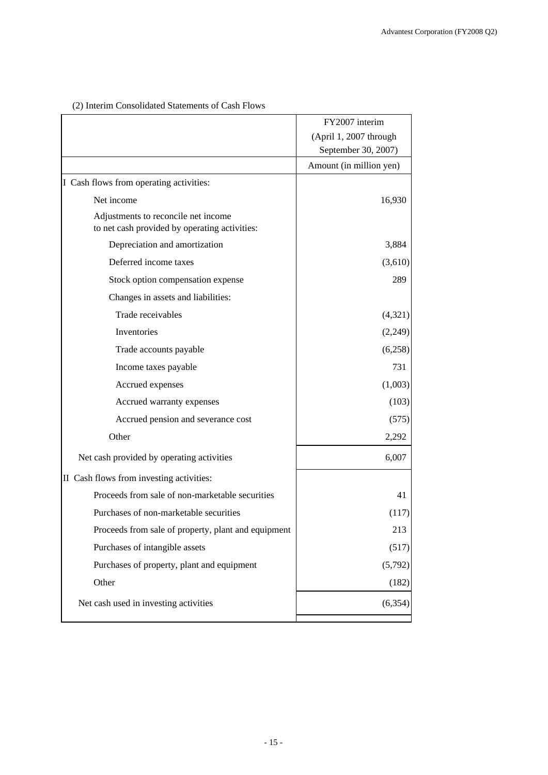|                                                                                      | FY2007 interim          |
|--------------------------------------------------------------------------------------|-------------------------|
|                                                                                      | (April 1, 2007 through  |
|                                                                                      | September 30, 2007)     |
|                                                                                      | Amount (in million yen) |
| I Cash flows from operating activities:                                              |                         |
| Net income                                                                           | 16,930                  |
| Adjustments to reconcile net income<br>to net cash provided by operating activities: |                         |
| Depreciation and amortization                                                        | 3,884                   |
| Deferred income taxes                                                                | (3,610)                 |
| Stock option compensation expense                                                    | 289                     |
| Changes in assets and liabilities:                                                   |                         |
| Trade receivables                                                                    | (4,321)                 |
| Inventories                                                                          | (2,249)                 |
| Trade accounts payable                                                               | (6,258)                 |
| Income taxes payable                                                                 | 731                     |
| Accrued expenses                                                                     | (1,003)                 |
| Accrued warranty expenses                                                            | (103)                   |
| Accrued pension and severance cost                                                   | (575)                   |
| Other                                                                                | 2,292                   |
| Net cash provided by operating activities                                            | 6,007                   |
| II Cash flows from investing activities:                                             |                         |
| Proceeds from sale of non-marketable securities                                      | 41                      |
| Purchases of non-marketable securities                                               | (117)                   |
| Proceeds from sale of property, plant and equipment                                  | 213                     |
| Purchases of intangible assets                                                       | (517)                   |
| Purchases of property, plant and equipment                                           | (5,792)                 |
| Other                                                                                | (182)                   |
| Net cash used in investing activities                                                | (6,354)                 |
|                                                                                      |                         |

# (2) Interim Consolidated Statements of Cash Flows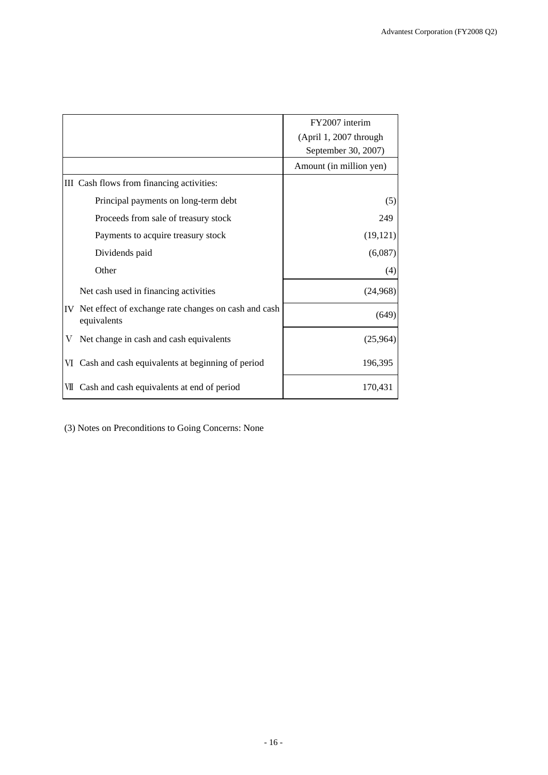|    |                                                                     | FY2007 interim          |
|----|---------------------------------------------------------------------|-------------------------|
|    |                                                                     | (April 1, 2007 through  |
|    |                                                                     | September 30, 2007)     |
|    |                                                                     | Amount (in million yen) |
|    | III Cash flows from financing activities:                           |                         |
|    | Principal payments on long-term debt                                | (5)                     |
|    | Proceeds from sale of treasury stock                                | 249                     |
|    | Payments to acquire treasury stock                                  | (19, 121)               |
|    | Dividends paid                                                      | (6,087)                 |
|    | Other                                                               | (4)                     |
|    | Net cash used in financing activities                               | (24,968)                |
| IV | Net effect of exchange rate changes on cash and cash<br>equivalents | (649)                   |
| V  | Net change in cash and cash equivalents                             | (25,964)                |
| VI | Cash and cash equivalents at beginning of period                    | 196,395                 |
| VШ | Cash and cash equivalents at end of period                          | 170,431                 |

(3) Notes on Preconditions to Going Concerns: None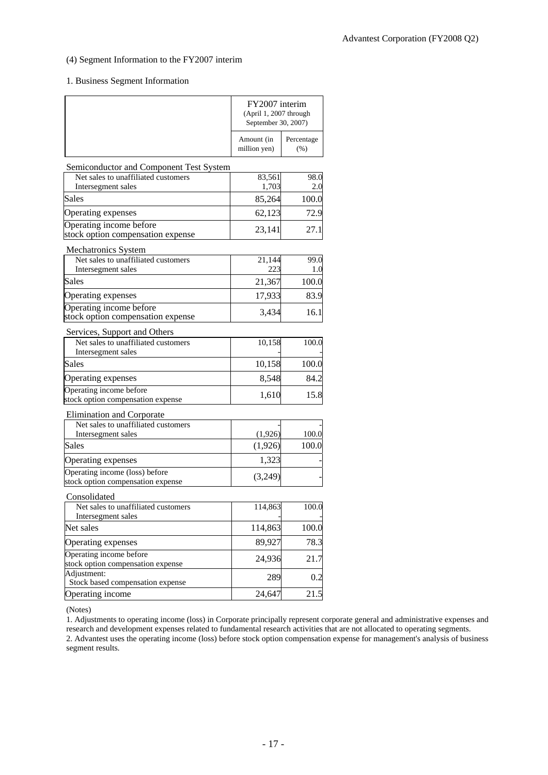### (4) Segment Information to the FY2007 interim

### 1. Business Segment Information

|                                                                                    | FY2007 interim<br>(April 1, 2007 through<br>September 30, 2007) |                    |
|------------------------------------------------------------------------------------|-----------------------------------------------------------------|--------------------|
|                                                                                    | Amount (in<br>million yen)                                      | Percentage<br>(% ) |
| Semiconductor and Component Test System                                            |                                                                 |                    |
| Net sales to unaffiliated customers                                                | 83,561                                                          | 98.0               |
| Intersegment sales<br><b>Sales</b>                                                 | 1,703                                                           | 2.0                |
|                                                                                    | 85,264                                                          | 100.0              |
| Operating expenses<br>Operating income before<br>stock option compensation expense | 62,123<br>23,141                                                | 72.9<br>27.1       |
| Mechatronics System                                                                |                                                                 |                    |
| Net sales to unaffiliated customers<br>Intersegment sales                          | 21,144<br>223                                                   | 99.0<br>1.0        |
| <b>Sales</b>                                                                       | 21,367                                                          | 100.0              |
| Operating expenses                                                                 | 17,933                                                          | 83.9               |
| Operating income before<br>stock option compensation expense                       | 3,434                                                           | 16.1               |
| Services, Support and Others                                                       |                                                                 |                    |
| Net sales to unaffiliated customers<br>Intersegment sales                          | 10,158                                                          | 100.0              |
| Sales                                                                              | 10,158                                                          | 100.0              |
| Operating expenses                                                                 | 8,548                                                           | 84.2               |
| Operating income before<br>stock option compensation expense                       | 1,610                                                           | 15.8               |
| Elimination and Corporate                                                          |                                                                 |                    |
| Net sales to unaffiliated customers                                                |                                                                 |                    |
| Intersegment sales<br><b>Sales</b>                                                 | (1,926)                                                         | 100.0              |
|                                                                                    | (1,926)                                                         | 100.0              |
| Operating expenses<br>Operating income (loss) before                               | 1,323                                                           |                    |
| stock option compensation expense                                                  | (3,249)                                                         |                    |
| Consolidated                                                                       |                                                                 |                    |
| Net sales to unaffiliated customers                                                | 114,863                                                         | 100.0              |
| Intersegment sales<br>Net sales                                                    | 114,863                                                         | 100.0              |
| Operating expenses                                                                 | 89,927                                                          | 78.3               |
| Operating income before                                                            |                                                                 |                    |
| stock option compensation expense                                                  | 24,936                                                          | 21.7               |
| Adjustment:<br>Stock based compensation expense                                    | 289                                                             | 0.2                |
| Operating income                                                                   | 24,647                                                          | 21.5               |

(Notes)

1. Adjustments to operating income (loss) in Corporate principally represent corporate general and administrative expenses and research and development expenses related to fundamental research activities that are not allocated to operating segments. 2. Advantest uses the operating income (loss) before stock option compensation expense for management's analysis of business segment results.